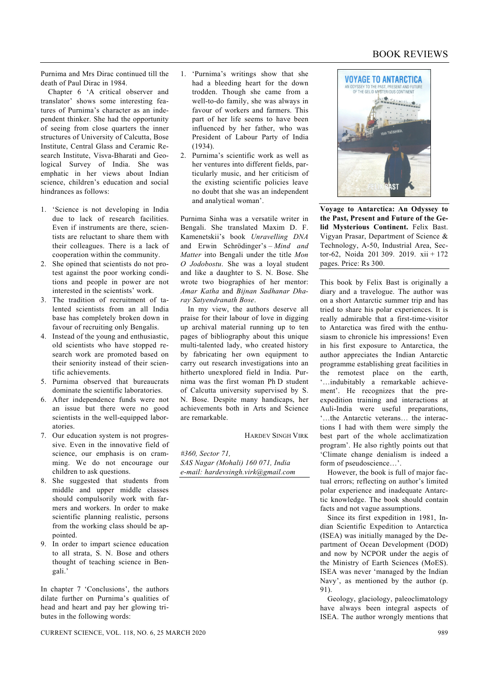## BOOK REVIEWS

Purnima and Mrs Dirac continued till the death of Paul Dirac in 1984.

 Chapter 6 'A critical observer and translator' shows some interesting features of Purnima's character as an independent thinker. She had the opportunity of seeing from close quarters the inner structures of University of Calcutta, Bose Institute, Central Glass and Ceramic Research Institute, Visva-Bharati and Geological Survey of India. She was emphatic in her views about Indian science, children's education and social hindrances as follows:

- 1. 'Science is not developing in India due to lack of research facilities. Even if instruments are there, scientists are reluctant to share them with their colleagues. There is a lack of cooperation within the community.
- 2. She opined that scientists do not protest against the poor working conditions and people in power are not interested in the scientists' work.
- 3. The tradition of recruitment of talented scientists from an all India base has completely broken down in favour of recruiting only Bengalis.
- 4. Instead of the young and enthusiastic, old scientists who have stopped research work are promoted based on their seniority instead of their scientific achievements.
- 5. Purnima observed that bureaucrats dominate the scientific laboratories.
- 6. After independence funds were not an issue but there were no good scientists in the well-equipped laboratories.
- 7. Our education system is not progressive. Even in the innovative field of science, our emphasis is on cramming. We do not encourage our children to ask questions.
- 8. She suggested that students from middle and upper middle classes should compulsorily work with farmers and workers. In order to make scientific planning realistic, persons from the working class should be appointed.
- 9. In order to impart science education to all strata, S. N. Bose and others thought of teaching science in Bengali.'

In chapter 7 'Conclusions', the authors dilate further on Purnima's qualities of head and heart and pay her glowing tributes in the following words:

- 1. 'Purnima's writings show that she had a bleeding heart for the down trodden. Though she came from a well-to-do family, she was always in favour of workers and farmers. This part of her life seems to have been influenced by her father, who was President of Labour Party of India  $(1934)$
- 2. Purnima's scientific work as well as her ventures into different fields, particularly music, and her criticism of the existing scientific policies leave no doubt that she was an independent and analytical woman'.

Purnima Sinha was a versatile writer in Bengali. She translated Maxim D. F. Kamenetskii's book *Unravelling DNA* and Erwin Schrödinger's – *Mind and Matter* into Bengali under the title *Mon O Jodobostu*. She was a loyal student and like a daughter to S. N. Bose. She wrote two biographies of her mentor: *Amar Katha* and *Bijnan Sadhanar Dharay Satyendranath Bose*.

 In my view, the authors deserve all praise for their labour of love in digging up archival material running up to ten pages of bibliography about this unique multi-talented lady, who created history by fabricating her own equipment to carry out research investigations into an hitherto unexplored field in India. Purnima was the first woman Ph D student of Calcutta university supervised by S. N. Bose. Despite many handicaps, her achievements both in Arts and Science are remarkable.

HARDEV SINGH VIRK

*#360, Sector 71, SAS Nagar (Mohali) 160 071, India e-mail: hardevsingh.virk@gmail.com* 



**Voyage to Antarctica: An Odyssey to the Past, Present and Future of the Gelid Mysterious Continent.** Felix Bast. Vigyan Prasar, Department of Science & Technology, A-50, Industrial Area, Sector-62, Noida 201 309. 2019. xii + 172 pages. Price: Rs 300.

This book by Felix Bast is originally a diary and a travelogue. The author was on a short Antarctic summer trip and has tried to share his polar experiences. It is really admirable that a first-time-visitor to Antarctica was fired with the enthusiasm to chronicle his impressions! Even in his first exposure to Antarctica, the author appreciates the Indian Antarctic programme establishing great facilities in the remotest place on the earth, '…indubitably a remarkable achievement'. He recognizes that the preexpedition training and interactions at Auli-India were useful preparations, '…the Antarctic veterans… the interactions I had with them were simply the best part of the whole acclimatization program'. He also rightly points out that 'Climate change denialism is indeed a form of pseudoscience…'.

 However, the book is full of major factual errors; reflecting on author's limited polar experience and inadequate Antarctic knowledge. The book should contain facts and not vague assumptions.

 Since its first expedition in 1981, Indian Scientific Expedition to Antarctica (ISEA) was initially managed by the Department of Ocean Development (DOD) and now by NCPOR under the aegis of the Ministry of Earth Sciences (MoES). ISEA was never 'managed by the Indian Navy', as mentioned by the author (p. 91).

 Geology, glaciology, paleoclimatology have always been integral aspects of ISEA. The author wrongly mentions that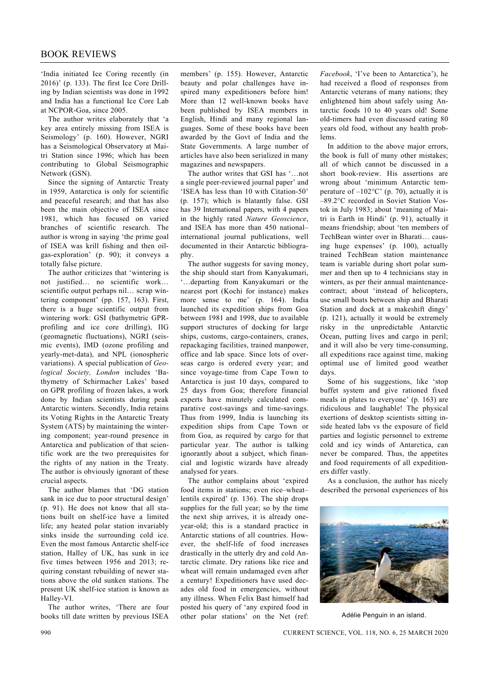'India initiated Ice Coring recently (in 2016)' (p. 133). The first Ice Core Drilling by Indian scientists was done in 1992 and India has a functional Ice Core Lab at NCPOR-Goa, since 2005.

 The author writes elaborately that 'a key area entirely missing from ISEA is Seismology' (p. 160). However, NGRI has a Seismological Observatory at Maitri Station since 1996; which has been contributing to Global Seismographic Network (GSN).

 Since the signing of Antarctic Treaty in 1959, Antarctica is only for scientific and peaceful research; and that has also been the main objective of ISEA since 1981, which has focused on varied branches of scientific research. The author is wrong in saying 'the prime goal of ISEA was krill fishing and then oilgas-exploration' (p. 90); it conveys a totally false picture.

 The author criticizes that 'wintering is not justified… no scientific work… scientific output perhaps nil… scrap wintering component' (pp. 157, 163). First, there is a huge scientific output from wintering work: GSI (bathymetric GPRprofiling and ice core drilling), IIG (geomagnetic fluctuations), NGRI (seismic events), IMD (ozone profiling and yearly-met-data), and NPL (ionospheric variations). A special publication of *Geological Society, London* includes 'Bathymetry of Schirmacher Lakes' based on GPR profiling of frozen lakes, a work done by Indian scientists during peak Antarctic winters. Secondly, India retains its Voting Rights in the Antarctic Treaty System (ATS) by maintaining the wintering component; year-round presence in Antarctica and publication of that scientific work are the two prerequisites for the rights of any nation in the Treaty. The author is obviously ignorant of these crucial aspects.

 The author blames that 'DG station sank in ice due to poor structural design' (p. 91). He does not know that all stations built on shelf-ice have a limited life; any heated polar station invariably sinks inside the surrounding cold ice. Even the most famous Antarctic shelf-ice station, Halley of UK, has sunk in ice five times between 1956 and 2013; requiring constant rebuilding of newer stations above the old sunken stations. The present UK shelf-ice station is known as Halley-VI.

 The author writes, 'There are four books till date written by previous ISEA

members' (p. 155). However, Antarctic beauty and polar challenges have inspired many expeditioners before him! More than 12 well-known books have been published by ISEA members in English, Hindi and many regional languages. Some of these books have been awarded by the Govt of India and the State Governments. A large number of articles have also been serialized in many magazines and newspapers.

 The author writes that GSI has '…not a single peer-reviewed journal paper' and 'ISEA has less than 10 with Citation-50' (p. 157); which is blatantly false. GSI has 39 International papers, with 4 papers in the highly rated *Nature Geoscience*, and ISEA has more than 450 national– international journal publications, well documented in their Antarctic bibliography.

 The author suggests for saving money, the ship should start from Kanyakumari, '…departing from Kanyakumari or the nearest port (Kochi for instance) makes more sense to me' (p. 164). India launched its expedition ships from Goa between 1981 and 1998, due to available support structures of docking for large ships, customs, cargo-containers, cranes, repackaging facilities, trained manpower, office and lab space. Since lots of overseas cargo is ordered every year; and since voyage-time from Cape Town to Antarctica is just 10 days, compared to 25 days from Goa; therefore financial experts have minutely calculated comparative cost-savings and time-savings. Thus from 1999, India is launching its expedition ships from Cape Town or from Goa, as required by cargo for that particular year. The author is talking ignorantly about a subject, which financial and logistic wizards have already analysed for years.

 The author complains about 'expired food items in stations; even rice–wheat– lentils expired' (p. 136). The ship drops supplies for the full year; so by the time the next ship arrives, it is already oneyear-old; this is a standard practice in Antarctic stations of all countries. However, the shelf-life of food increases drastically in the utterly dry and cold Antarctic climate. Dry rations like rice and wheat will remain undamaged even after a century! Expeditioners have used decades old food in emergencies, without any illness. When Felix Bast himself had posted his query of 'any expired food in other polar stations' on the Net (ref:

*Facebook*, 'I've been to Antarctica'), he had received a flood of responses from Antarctic veterans of many nations; they enlightened him about safely using Antarctic foods 10 to 40 years old! Some old-timers had even discussed eating 80 years old food, without any health problems.

 In addition to the above major errors, the book is full of many other mistakes; all of which cannot be discussed in a short book-review. His assertions are wrong about 'minimum Antarctic temperature of  $-102^{\circ}$ C' (p. 70), actually it is –89.2°C recorded in Soviet Station Vostok in July 1983; about 'meaning of Maitri is Earth in Hindi' (p. 91), actually it means friendship; about 'ten members of TechBean winter over in Bharati… causing huge expenses' (p. 100), actually trained TechBean station maintenance team is variable during short polar summer and then up to 4 technicians stay in winters, as per their annual maintenancecontract; about 'instead of helicopters, use small boats between ship and Bharati Station and dock at a makeshift dingy' (p. 121), actually it would be extremely risky in the unpredictable Antarctic Ocean, putting lives and cargo in peril; and it will also be very time-consuming, all expeditions race against time, making optimal use of limited good weather days.

 Some of his suggestions, like 'stop buffet system and give rationed fixed meals in plates to everyone' (p. 163) are ridiculous and laughable! The physical exertions of desktop scientists sitting inside heated labs vs the exposure of field parties and logistic personnel to extreme cold and icy winds of Antarctica, can never be compared. Thus, the appetites and food requirements of all expeditioners differ vastly.

 As a conclusion, the author has nicely described the personal experiences of his



Adélie Penguin in an island.